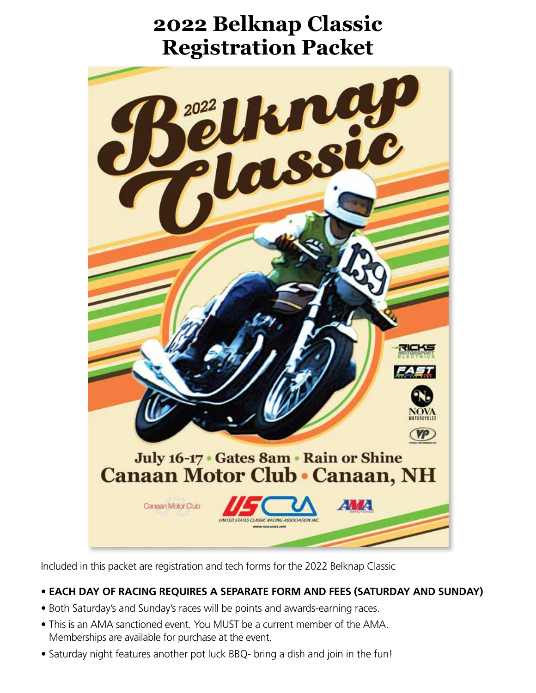**2022 Belknap Classic Registration Packet**



Included in this packet are registration and tech forms for the 2022 Belknap Classic

### • **EACH DAY OF RACING REQUIRES A SEPARATE FORM AND FEES (SATURDAY AND SUNDAY)**

- Both Saturday's and Sunday's races will be points and awards-earning races.
- This is an AMA sanctioned event. You MUST be a current member of the AMA. Memberships are available for purchase at the event.
- Saturday night features another pot luck BBQ- bring a dish and join in the fun!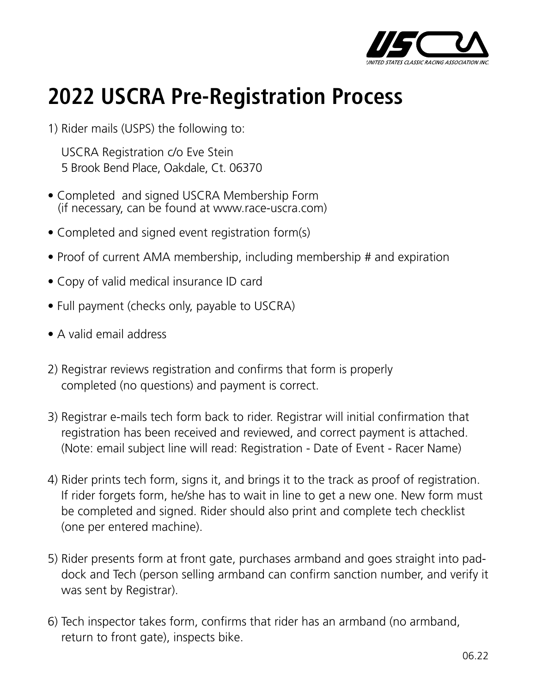

# **2022 USCRA Pre-Registration Process**

1) Rider mails (USPS) the following to:

 USCRA Registration c/o Eve Stein 5 Brook Bend Place, Oakdale, Ct. 06370

- Completed and signed USCRA Membership Form (if necessary, can be found at www.race-uscra.com)
- Completed and signed event registration form(s)
- Proof of current AMA membership, including membership # and expiration
- Copy of valid medical insurance ID card
- Full payment (checks only, payable to USCRA)
- A valid email address
- 2) Registrar reviews registration and confirms that form is properly completed (no questions) and payment is correct.
- 3) Registrar e-mails tech form back to rider. Registrar will initial confirmation that registration has been received and reviewed, and correct payment is attached. (Note: email subject line will read: Registration - Date of Event - Racer Name)
- 4) Rider prints tech form, signs it, and brings it to the track as proof of registration. If rider forgets form, he/she has to wait in line to get a new one. New form must be completed and signed. Rider should also print and complete tech checklist (one per entered machine).
- 5) Rider presents form at front gate, purchases armband and goes straight into paddock and Tech (person selling armband can confirm sanction number, and verify it was sent by Registrar).
- 6) Tech inspector takes form, confirms that rider has an armband (no armband, return to front gate), inspects bike.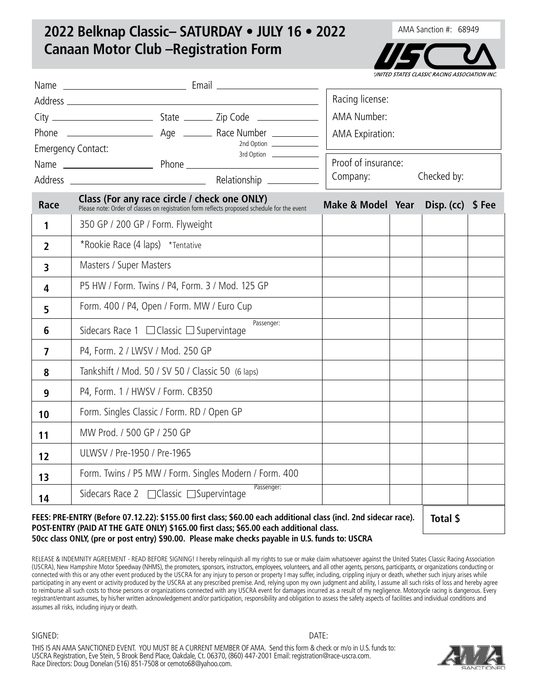### **2022 Belknap Classic– SATURDAY • JULY 16 • 2022 Canaan Motor Club –Registration Form**

AMA Sanction #: 68949



|                         |                                                        |  |                                                                                                                                                                                                                                        | Racing license:                       |  |  |  |
|-------------------------|--------------------------------------------------------|--|----------------------------------------------------------------------------------------------------------------------------------------------------------------------------------------------------------------------------------------|---------------------------------------|--|--|--|
|                         |                                                        |  |                                                                                                                                                                                                                                        | AMA Number:<br><b>AMA Expiration:</b> |  |  |  |
|                         |                                                        |  | 2nd Option<br>3rd Option ________________                                                                                                                                                                                              |                                       |  |  |  |
|                         | <b>Emergency Contact:</b>                              |  |                                                                                                                                                                                                                                        |                                       |  |  |  |
|                         |                                                        |  | Proof of insurance:<br>Company:                                                                                                                                                                                                        |                                       |  |  |  |
|                         |                                                        |  |                                                                                                                                                                                                                                        | Checked by:                           |  |  |  |
| Race                    |                                                        |  | <b>Class (For any race circle / check one ONLY)</b><br>Please note: Order of classes on registration form reflects proposed schedule for the event                                                                                     | Make & Model Year Disp. (cc) \$ Fee   |  |  |  |
| $\mathbf{1}$            | 350 GP / 200 GP / Form. Flyweight                      |  |                                                                                                                                                                                                                                        |                                       |  |  |  |
| $\overline{2}$          | *Rookie Race (4 laps) *Tentative                       |  |                                                                                                                                                                                                                                        |                                       |  |  |  |
| $\overline{\mathbf{3}}$ | Masters / Super Masters                                |  |                                                                                                                                                                                                                                        |                                       |  |  |  |
| 4                       | P5 HW / Form. Twins / P4, Form. 3 / Mod. 125 GP        |  |                                                                                                                                                                                                                                        |                                       |  |  |  |
| 5                       | Form. 400 / P4, Open / Form. MW / Euro Cup             |  |                                                                                                                                                                                                                                        |                                       |  |  |  |
| 6                       | Sidecars Race 1 $\Box$ Classic $\Box$ Supervintage     |  |                                                                                                                                                                                                                                        |                                       |  |  |  |
| $\overline{7}$          | P4, Form. 2 / LWSV / Mod. 250 GP                       |  |                                                                                                                                                                                                                                        |                                       |  |  |  |
| 8                       | Tankshift / Mod. 50 / SV 50 / Classic 50 (6 laps)      |  |                                                                                                                                                                                                                                        |                                       |  |  |  |
| 9                       | P4, Form. 1 / HWSV / Form. CB350                       |  |                                                                                                                                                                                                                                        |                                       |  |  |  |
| 10                      | Form. Singles Classic / Form. RD / Open GP             |  |                                                                                                                                                                                                                                        |                                       |  |  |  |
| 11                      | MW Prod. / 500 GP / 250 GP                             |  |                                                                                                                                                                                                                                        |                                       |  |  |  |
| 12                      | ULWSV / Pre-1950 / Pre-1965                            |  |                                                                                                                                                                                                                                        |                                       |  |  |  |
| 13                      | Form. Twins / P5 MW / Form. Singles Modern / Form. 400 |  |                                                                                                                                                                                                                                        |                                       |  |  |  |
| 14                      | Passenger:<br>Sidecars Race 2 □ Classic □ Supervintage |  |                                                                                                                                                                                                                                        |                                       |  |  |  |
|                         |                                                        |  | $\mathbf{a} = \mathbf{a} \cdot \mathbf{a}$ and $\mathbf{a} = \mathbf{a} \cdot \mathbf{a}$ and $\mathbf{a} = \mathbf{a} \cdot \mathbf{a}$ and $\mathbf{a} = \mathbf{a} \cdot \mathbf{a}$ and $\mathbf{a} = \mathbf{a} \cdot \mathbf{a}$ |                                       |  |  |  |

#### **FEES: PRE-ENTRY (Before 07.12.22): \$155.00 first class; \$60.00 each additional class (incl. 2nd sidecar race). POST-ENTRY (PAID AT THE GATE ONLY) \$165.00 first class; \$65.00 each additional class. 50cc class ONLY, (pre or post entry) \$90.00. Please make checks payable in U.S. funds to: USCRA**

**Total \$**

RELEASE & INDEMNITY AGREEMENT - READ BEFORE SIGNING! I hereby relinquish all my rights to sue or make claim whatsoever against the United States Classic Racing Association (USCRA), New Hampshire Motor Speedway (NHMS), the promoters, sponsors, instructors, employees, volunteers, and all other agents, persons, participants, or organizations conducting or connected with this or any other event produced by the USCRA for any injury to person or property I may suffer, including, crippling injury or death, whether such injury arises while participating in any event or activity produced by the USCRA at any prescribed premise. And, relying upon my own judgment and ability, I assume all such risks of loss and hereby agree to reimburse all such costs to those persons or organizations connected with any USCRA event for damages incurred as a result of my negligence. Motorcycle racing is dangerous. Every registrant/entrant assumes, by his/her written acknowledgement and/or participation, responsibility and obligation to assess the safety aspects of facilities and individual conditions and assumes all risks, including injury or death.

SIGNED: DATE:

THIS IS AN AMA SANCTIONED EVENT. YOU MUST BE A CURRENT MEMBER OF AMA. Send this form & check or m/o in U.S. funds to: USCRA Registration, Eve Stein, 5 Brook Bend Place, Oakdale, Ct. 06370, (860) 447-2001 Email: registration@race-uscra.com. Race Directors: Doug Donelan (516) 851-7508 or cemoto68@yahoo.com.

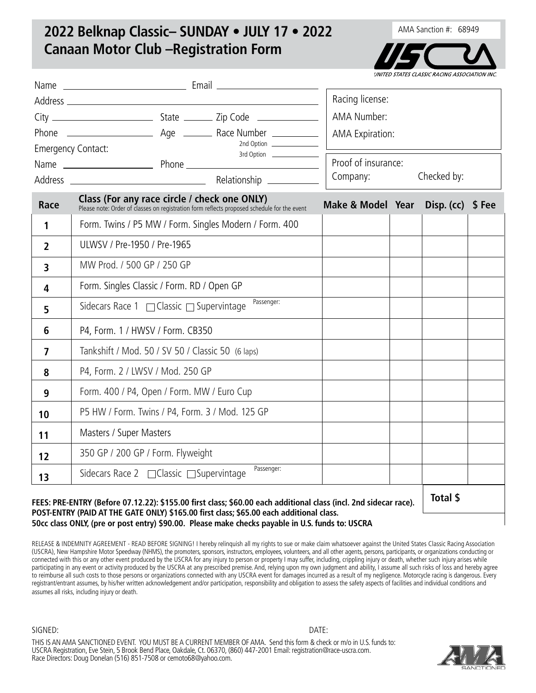### **2022 Belknap Classic– SUNDAY • JULY 17 • 2022 Canaan Motor Club –Registration Form**

AMA Sanction #: 68949



|                         |                                                        |  |                                                                                                                                                    | Racing license:                     |          |          |             |
|-------------------------|--------------------------------------------------------|--|----------------------------------------------------------------------------------------------------------------------------------------------------|-------------------------------------|----------|----------|-------------|
|                         |                                                        |  |                                                                                                                                                    | AMA Number:                         |          |          |             |
|                         |                                                        |  | 2nd Option<br>3rd Option                                                                                                                           | <b>AMA Expiration:</b>              |          |          |             |
|                         |                                                        |  |                                                                                                                                                    |                                     |          |          |             |
|                         |                                                        |  |                                                                                                                                                    |                                     | Company: |          | Checked by: |
| Race                    |                                                        |  | <b>Class (For any race circle / check one ONLY)</b><br>Please note: Order of classes on registration form reflects proposed schedule for the event | Make & Model Year Disp. (cc) \$ Fee |          |          |             |
| 1                       |                                                        |  | Form. Twins / P5 MW / Form. Singles Modern / Form. 400                                                                                             |                                     |          |          |             |
| $\overline{2}$          | ULWSV / Pre-1950 / Pre-1965                            |  |                                                                                                                                                    |                                     |          |          |             |
| $\overline{\mathbf{3}}$ | MW Prod. / 500 GP / 250 GP                             |  |                                                                                                                                                    |                                     |          |          |             |
| 4                       | Form. Singles Classic / Form. RD / Open GP             |  |                                                                                                                                                    |                                     |          |          |             |
| 5                       | Passenger:<br>Sidecars Race 1 □ Classic □ Supervintage |  |                                                                                                                                                    |                                     |          |          |             |
| 6                       | P4, Form. 1 / HWSV / Form. CB350                       |  |                                                                                                                                                    |                                     |          |          |             |
| $\overline{7}$          | Tankshift / Mod. 50 / SV 50 / Classic 50 (6 laps)      |  |                                                                                                                                                    |                                     |          |          |             |
| 8                       | P4, Form. 2 / LWSV / Mod. 250 GP                       |  |                                                                                                                                                    |                                     |          |          |             |
| 9                       | Form. 400 / P4, Open / Form. MW / Euro Cup             |  |                                                                                                                                                    |                                     |          |          |             |
| 10                      | P5 HW / Form. Twins / P4, Form. 3 / Mod. 125 GP        |  |                                                                                                                                                    |                                     |          |          |             |
| 11                      | Masters / Super Masters                                |  |                                                                                                                                                    |                                     |          |          |             |
| 12                      | 350 GP / 200 GP / Form. Flyweight                      |  |                                                                                                                                                    |                                     |          |          |             |
| 13                      | Sidecars Race 2 □ Classic □ Supervintage               |  | Passenger:                                                                                                                                         |                                     |          |          |             |
|                         |                                                        |  | FEES: PRE-ENTRY (Before 07 12 22): \$155 00 first class: \$60 00 each additional class (incl. 2nd sidecar race)                                    |                                     |          | Total \$ |             |

#### **FEES: PRE-ENTRY (Before 07.12.22): \$155.00 first class; \$60.00 each additional class (incl. 2nd sidecar race). POST-ENTRY (PAID AT THE GATE ONLY) \$165.00 first class; \$65.00 each additional class. 50cc class ONLY, (pre or post entry) \$90.00. Please make checks payable in U.S. funds to: USCRA**

RELEASE & INDEMNITY AGREEMENT - READ BEFORE SIGNING! I hereby relinquish all my rights to sue or make claim whatsoever against the United States Classic Racing Association (USCRA), New Hampshire Motor Speedway (NHMS), the promoters, sponsors, instructors, employees, volunteers, and all other agents, persons, participants, or organizations conducting or connected with this or any other event produced by the USCRA for any injury to person or property I may suffer, including, crippling injury or death, whether such injury arises while participating in any event or activity produced by the USCRA at any prescribed premise. And, relying upon my own judgment and ability, I assume all such risks of loss and hereby agree to reimburse all such costs to those persons or organizations connected with any USCRA event for damages incurred as a result of my negligence. Motorcycle racing is dangerous. Every registrant/entrant assumes, by his/her written acknowledgement and/or participation, responsibility and obligation to assess the safety aspects of facilities and individual conditions and assumes all risks, including injury or death.

SIGNED: DATE:

THIS IS AN AMA SANCTIONED EVENT. YOU MUST BE A CURRENT MEMBER OF AMA. Send this form & check or m/o in U.S. funds to: USCRA Registration, Eve Stein, 5 Brook Bend Place, Oakdale, Ct. 06370, (860) 447-2001 Email: registration@race-uscra.com. Race Directors: Doug Donelan (516) 851-7508 or cemoto68@yahoo.com.